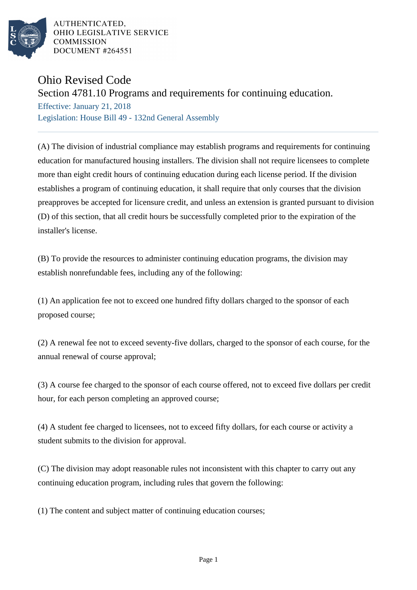

AUTHENTICATED. OHIO LEGISLATIVE SERVICE **COMMISSION** DOCUMENT #264551

## Ohio Revised Code

## Section 4781.10 Programs and requirements for continuing education.

Effective: January 21, 2018 Legislation: House Bill 49 - 132nd General Assembly

(A) The division of industrial compliance may establish programs and requirements for continuing education for manufactured housing installers. The division shall not require licensees to complete more than eight credit hours of continuing education during each license period. If the division establishes a program of continuing education, it shall require that only courses that the division preapproves be accepted for licensure credit, and unless an extension is granted pursuant to division (D) of this section, that all credit hours be successfully completed prior to the expiration of the installer's license.

(B) To provide the resources to administer continuing education programs, the division may establish nonrefundable fees, including any of the following:

(1) An application fee not to exceed one hundred fifty dollars charged to the sponsor of each proposed course;

(2) A renewal fee not to exceed seventy-five dollars, charged to the sponsor of each course, for the annual renewal of course approval;

(3) A course fee charged to the sponsor of each course offered, not to exceed five dollars per credit hour, for each person completing an approved course;

(4) A student fee charged to licensees, not to exceed fifty dollars, for each course or activity a student submits to the division for approval.

(C) The division may adopt reasonable rules not inconsistent with this chapter to carry out any continuing education program, including rules that govern the following:

(1) The content and subject matter of continuing education courses;